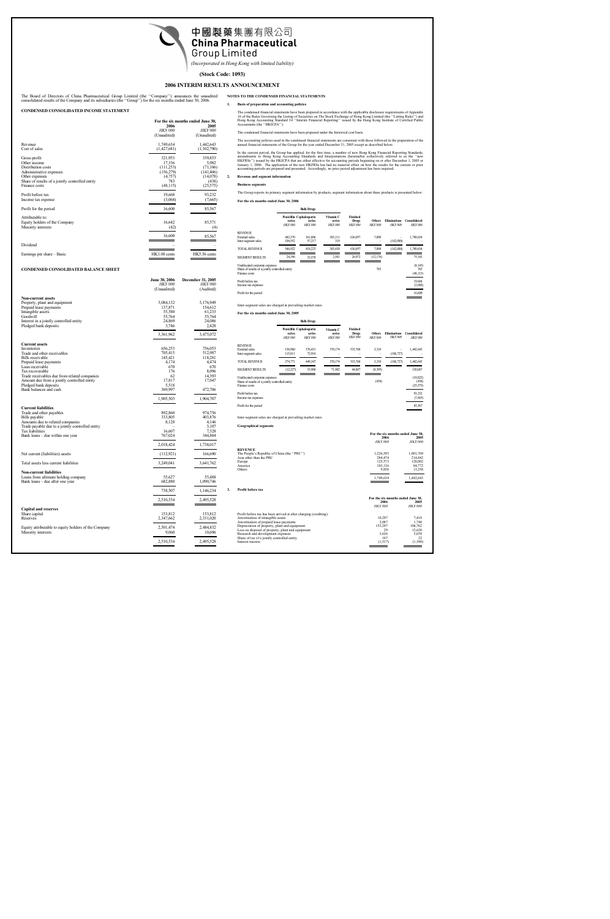

*(Incorporated in Hong Kong with limited liability)*

# **(Stock Code: 1093)**

# **2006 INTERIM RESULTS ANNOUNCEMENT**

The Board of Directors of China Pharmaceutical Group Limited (the ''Company'') announces the unaudited consolidated results of the Company and its subsidiaries (the ''Group'') for the six months ended June 30, 2006.

## **CONDENSED CONSOLIDATED INCOME STATEMENT**

|                                                 | For the six months ended June 30, |                 |  |
|-------------------------------------------------|-----------------------------------|-----------------|--|
|                                                 | 2006<br>2005                      |                 |  |
|                                                 | <b>HK\$'000</b>                   | <b>HK\$'000</b> |  |
|                                                 | (Unaudited)                       | (Unaudited)     |  |
| Revenue                                         | 1,749,634                         | 1,442,643       |  |
| Cost of sales                                   | (1,427,681)                       | (1,102,790)     |  |
| Gross profit                                    | 321,953                           | 339,853         |  |
| Other income                                    | 17,336                            | 5,982           |  |
| Distribution costs                              | (111,253)                         | (71,106)        |  |
| Administrative expenses                         | (156,279)                         | (141, 406)      |  |
| Other expenses                                  | (4,757)                           | (14,078)        |  |
| Share of results of a jointly controlled entity | 783                               | (438)           |  |
| Finance costs                                   | (48, 115)                         | (25,575)        |  |
| Profit before tax                               | 19,668                            | 93,232          |  |
| Income tax expense                              | (3,068)                           | (7,665)         |  |
| Profit for the period                           | 16,600                            | 85,567          |  |
| Attributable to:                                |                                   |                 |  |
| Equity holders of the Company                   | 16,642                            | 85,571          |  |
| Minority interests                              | (42)                              | (4)             |  |
|                                                 | 16,600                            | 85,567          |  |
|                                                 |                                   |                 |  |
| Dividend                                        |                                   |                 |  |
| Earnings per share – Basic                      | HK1.08 cents                      | HK5.56 cents    |  |

# **CONDENSED CONSOLIDATED BALANCE SHEET**

|                                                      | <b>June 30, 2006</b><br><b>HK\$'000</b> | <b>December 31, 2005</b><br><b>HK\$'000</b> |
|------------------------------------------------------|-----------------------------------------|---------------------------------------------|
|                                                      | (Unaudited)                             | (Audited)                                   |
| Non-current assets                                   |                                         |                                             |
| Property, plant and equipment                        | 3,084,132                               | 3,176,949                                   |
| Prepaid lease payments                               | 137,871                                 | 154,612                                     |
| Intangible assets                                    | 55,580                                  | 61,233                                      |
| Goodwill                                             | 55,764                                  | 55,764                                      |
| Interest in a jointly controlled entity              | 24,869                                  | 24,086                                      |
| Pledged bank deposits                                | 3,746                                   | 2,428                                       |
|                                                      | 3,361,962                               | 3,475,072                                   |
| <b>Current assets</b>                                |                                         |                                             |
| Inventories                                          | 656,253                                 | 756,053                                     |
| Trade and other receivables                          | 705,415                                 | 512,987                                     |
| Bills receivable<br>Prepaid lease payments           | 145,421<br>4,174                        | 118,281<br>4,474                            |
| Loan receivable                                      | 670                                     | 670                                         |
| Tax recoverable                                      | 176                                     | 8,096                                       |
| Trade receivables due from related companies         | 62                                      | 14,393                                      |
| Amount due from a jointly controlled entity          | 17,817                                  | 17,047                                      |
| Pledged bank deposits                                | 5,518                                   |                                             |
| Bank balances and cash                               | 369,997                                 | 472,706                                     |
|                                                      | 1,905,503                               | 1,904,707                                   |
| <b>Current liabilities</b>                           |                                         |                                             |
| Trade and other payables                             | 892,860                                 | 974.756                                     |
| Bills payable                                        | 333,805                                 | 403,876                                     |
| Amounts due to related companies                     | 8,128                                   | 4,146                                       |
| Trade payable due to a jointly controlled entity     |                                         | 3,107                                       |
| Tax liabilities                                      | 16,607                                  | 7,328                                       |
| Bank loans – due within one year                     | 767,024                                 | 344,804                                     |
|                                                      | 2,018,424                               | 1,738,017                                   |
| Net current (liabilities) assets                     | (112, 921)                              | 166,690                                     |
| Total assets less current liabilities                | 3,249,041                               | 3,641,762                                   |
| Non-current liabilities                              |                                         |                                             |
| Loans from ultimate holding company                  | 55,627                                  | 55,488                                      |
| Bank loans – due after one year                      | 682,880                                 | 1,090,746                                   |
|                                                      | 738,507                                 | 1,146,234                                   |
|                                                      | 2,510,534                               | 2,495,528                                   |
| <b>Capital and reserves</b>                          |                                         |                                             |
| Share capital                                        | 153,812                                 | 153,812                                     |
| Reserves                                             | 2,347,662                               | 2,331,020                                   |
| Equity attributable to equity holders of the Company | 2,501,474                               | 2,484,832                                   |
| Minority interests                                   | 9,060                                   | 10,696                                      |
|                                                      | 2,510,534                               | 2,495,528                                   |
|                                                      |                                         |                                             |

#### **NOTES TO THE CONDENSED FINANCIAL STATEMENTS**

# **1. Basis of preparation and accounting policies**

The condensed financial statements have been prepared in accordance with the applicable disclosure requirements of Appendix<br>16 of the Rules Governing the Listing of Securities on The Stock Exchange of Hong Kong Limited (th

The condensed financial statements have been prepared under the historical cost basis.

The accounting policies used in the condensed financial statements are consistent with those followed in the preparation of the annual financial statements of the Group for the year ended December 31, 2005 except as described below.

In the current period, the Group has applied, for the first time, a number of new Hong Kong Financial Reporting Standards, amendments to Hong Kong Accounting Standards and Interpretations (hereinafter collectively referred to as the "new<br>HKFRSs'') issued by the HKICPA that are either effective for accounting periods beginning on or after Decem

## **2. Revenue and segment information**

#### **Business segments**

The Group reports its primary segment information by products, segment information about these products is presented below:

**For the six months ended June 30, 2006**

|                                                                                                    |                                                       | <b>Bulk Drugs</b>         |                                       |                                            |                                 |                                        |                                |
|----------------------------------------------------------------------------------------------------|-------------------------------------------------------|---------------------------|---------------------------------------|--------------------------------------------|---------------------------------|----------------------------------------|--------------------------------|
|                                                                                                    | Penicillin Cephalosporin<br>series<br><b>HK\$'000</b> | series<br><b>HK\$'000</b> | Vitamin C<br>series<br><b>HKS'000</b> | <b>Finished</b><br>Drugs<br><b>HKS'000</b> | <b>Others</b><br><b>HKS'000</b> | <b>Eliminations</b><br><b>HK\$'000</b> | Consolidated<br><b>HKS'000</b> |
| <b>REVENUE</b>                                                                                     |                                                       |                           |                                       |                                            |                                 |                                        |                                |
| External sales                                                                                     | 442,370                                               | 361,006                   | 303,111                               | 636,057                                    | 7,090                           |                                        | 1,749,634                      |
| Inter-segment sales                                                                                | 104,552                                               | 57,217                    | 319                                   |                                            |                                 | (162,088)                              |                                |
| <b>TOTAL REVENUE</b>                                                                               | 546,922                                               | 418,223                   | 303,430                               | 636,057                                    | 7,090                           | (162,088)                              | 1,749,634                      |
| <b>SEGMENT RESULTS</b>                                                                             | 24,196                                                | 33,570                    | 2,581                                 | 26,972                                     | (12, 176)                       |                                        | 75,143                         |
| Unallocated corporate expenses<br>Share of results of a jointly controlled entity<br>Finance costs |                                                       |                           |                                       |                                            | 783                             |                                        | (8, 143)<br>783<br>(48, 115)   |
| Profit before tax<br>Income tax expenses                                                           |                                                       |                           |                                       |                                            |                                 |                                        | 19,668<br>(3,068)              |
| Profit for the period                                                                              |                                                       |                           |                                       |                                            |                                 |                                        | 16,600                         |

Inter-segment sales are charged at prevailing market rates.

## **For the six months ended June 30, 2005**

|                                                                                                    |                          | <b>Bulk Drugs</b>                                    |                                       |                                     |                          |                                       |                                 |
|----------------------------------------------------------------------------------------------------|--------------------------|------------------------------------------------------|---------------------------------------|-------------------------------------|--------------------------|---------------------------------------|---------------------------------|
|                                                                                                    | series<br><b>HKS'000</b> | Penicillin Cephalosporin<br>series<br><b>HKS'000</b> | Vitamin C<br>series<br><b>HKS'000</b> | Finished<br>Drugs<br><b>HKS'000</b> | Others<br><b>HKS'000</b> | <b>Eliminations</b><br><b>HKS'000</b> | Consolidated<br><b>HKS'000</b>  |
| <b>REVENUE</b>                                                                                     |                          |                                                      |                                       |                                     |                          |                                       |                                 |
| <b>External</b> sales                                                                              | 158,960                  | 376,431                                              | 370,174                               | 533,768                             | 3,310                    |                                       | 1,442,643                       |
| Inter-segment sales                                                                                | 115,811                  | 72,916                                               |                                       |                                     |                          | (188, 727)                            |                                 |
| <b>TOTAL REVENUE</b>                                                                               | 274,771                  | 449,347                                              | 370,174                               | 533,768                             | 3,310                    | (188, 727)                            | 1,442,643                       |
| <b>SEGMENT RESULTS</b>                                                                             | (12, 227)                | 33,900                                               | 71,902                                | 44,887                              | (8,395)                  |                                       | 130,067                         |
| Unallocated corporate expenses<br>Share of results of a jointly controlled entity<br>Finance costs |                          |                                                      |                                       |                                     | (438)                    |                                       | (10, 822)<br>(438)<br>(25, 575) |
| Profit before tax<br>Income tax expenses                                                           |                          |                                                      |                                       |                                     |                          |                                       | 93,232<br>(7,665)               |
| Profit for the period                                                                              |                          |                                                      |                                       |                                     |                          |                                       | 85,567                          |
|                                                                                                    |                          |                                                      |                                       |                                     |                          |                                       |                                 |

Inter-segment sales are charged at prevailing market rates.

**Geographical segments**

|                                            | For the six months ended June 30, |                 |
|--------------------------------------------|-----------------------------------|-----------------|
|                                            | 2006                              |                 |
|                                            | <b>HK\$'000</b>                   | <i>HK\$'000</i> |
| <b>REVENUE</b>                             |                                   |                 |
| The People's Republic of China (the "PRC") | 1,226,593                         | 1,001,769       |
| Asia other than the PRC                    | 284,474                           | 214,842         |
| Europe                                     | 125,573                           | 128,002         |
| America                                    | 103,136                           | 84,772          |
| Others                                     | 9.858                             | 13.258          |
|                                            | 1,749,634                         | 1,442,643       |

**3. Profit before tax**

|                                                                   | For the six months ended June 30, |                 |
|-------------------------------------------------------------------|-----------------------------------|-----------------|
|                                                                   | 2006                              |                 |
|                                                                   | <b>HK\$'000</b>                   | <b>HK\$'000</b> |
| Profit before tax has been arrived at after charging (crediting): |                                   |                 |
| Amortisation of intangible assets                                 | 10.297                            | 7,418           |
| Amortisation of prepaid lease payments                            | 2.087                             | 1.748           |
| Depreciation of property, plant and equipment                     | 153.297                           | 106,762         |
| Loss on disposal of property, plant and equipment                 | 29                                | 12,620          |
| Research and development expenses                                 | 3.626                             | 5,039           |
| Share of tax of a jointly controlled entity                       | 187                               | 22              |
| Interest income                                                   | (1.517)                           | (1,390)         |